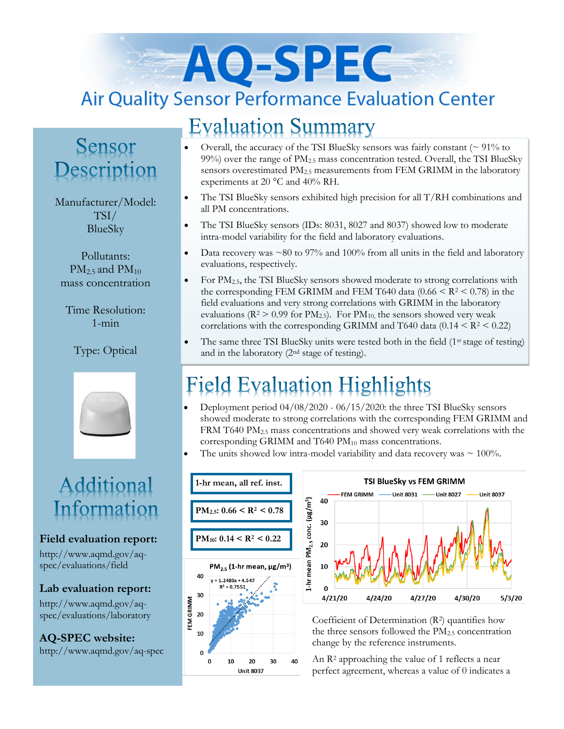# AO-SPEC **Air Quality Sensor Performance Evaluation Center**

## **Evaluation Summary**

### Sensor Description

Manufacturer/Model: TSI/ BlueSky

Pollutants:  $PM<sub>2.5</sub>$  and  $PM<sub>10</sub>$ mass concentration

Time Resolution: 1-min

### Type: Optical



## Additional Information

### **Field evaluation report:**

http://www.aqmd.gov/aqspec/evaluations/field

### **Lab evaluation report:**

http://www.aqmd.gov/aqspec/evaluations/laboratory

**AQ-SPEC website:**  http://www.aqmd.gov/aq-spec

- Overall, the accuracy of the TSI BlueSky sensors was fairly constant  $( \sim 91\%$  to 99%) over the range of  $PM_{2.5}$  mass concentration tested. Overall, the TSI BlueSky sensors overestimated PM<sub>2.5</sub> measurements from FEM GRIMM in the laboratory experiments at 20 °C and 40% RH.
- The TSI BlueSky sensors exhibited high precision for all T/RH combinations and all PM concentrations.
- The TSI BlueSky sensors (IDs: 8031, 8027 and 8037) showed low to moderate intra-model variability for the field and laboratory evaluations.
- Data recovery was  $\sim 80$  to 97% and 100% from all units in the field and laboratory evaluations, respectively.
- For PM<sub>2.5</sub>, the TSI BlueSky sensors showed moderate to strong correlations with the corresponding FEM GRIMM and FEM T640 data  $(0.66 \leq R^2 \leq 0.78)$  in the field evaluations and very strong correlations with GRIMM in the laboratory evaluations ( $R^2 > 0.99$  for  $PM_{2.5}$ ). For  $PM_{10}$ , the sensors showed very weak correlations with the corresponding GRIMM and T640 data  $(0.14 \leq R^2 \leq 0.22)$
- The same three TSI BlueSky units were tested both in the field  $(1<sup>st</sup> stage of testing)$ and in the laboratory (2nd stage of testing).

## **Field Evaluation Highlights**

- Deployment period 04/08/2020 06/15/2020: the three TSI BlueSky sensors showed moderate to strong correlations with the corresponding FEM GRIMM and FRM T640 PM2.5 mass concentrations and showed very weak correlations with the corresponding GRIMM and T640 PM<sub>10</sub> mass concentrations.
- The units showed low intra-model variability and data recovery was  $\sim 100\%$ .





Coefficient of Determination  $(R^2)$  quantifies how the three sensors followed the  $PM<sub>2.5</sub>$  concentration change by the reference instruments.

An R<sup>2</sup> approaching the value of 1 reflects a near perfect agreement, whereas a value of 0 indicates a